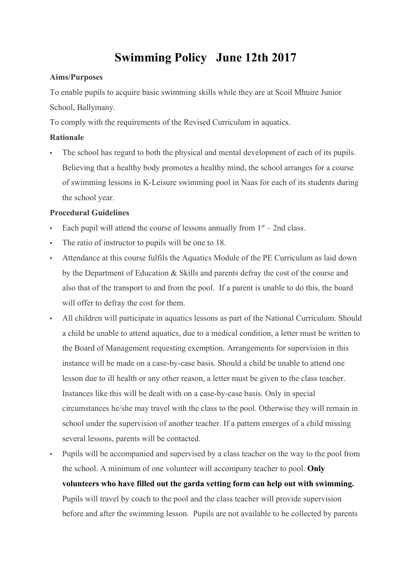# **Swimming Policy June 12th 2017**

#### **Aims/Purposes**

To enable pupils to acquire basic swimming skills while they are at Scoil Mhuire Junior School, Ballymany.

To comply with the requirements of the Revised Curriculum in aquatics.

### **Rationale**

The school has regard to both the physical and mental development of each of its pupils. Believing that a healthy body promotes a healthy mind, the school arranges for a course of swimming lessons in K-Leisure swimming pool in Naas for each of its students during the school year.

#### **Procedural Guidelines**

- Each pupil will attend the course of lessons annually from  $1<sup>st</sup> 2nd$  class.
- The ratio of instructor to pupils will be one to 18.
- Attendance at this course fulfils the Aquatics Module of the PE Curriculum as laid down by the Department of Education & Skills and parents defray the cost of the course and also that of the transport to and from the pool. If a parent is unable to do this, the board will offer to defray the cost for them.
- All children will participate in aquatics lessons as part of the National Curriculum. Should a child be unable to attend aquatics, due to a medical condition, a letter must be written to the Board of Management requesting exemption. Arrangements for supervision in this instance will be made on a case-by-case basis. Should a child be unable to attend one lesson due to ill health or any other reason, a letter must be given to the class teacher. Instances like this will be dealt with on a case-by-case basis. Only in special circumstances he/she may travel with the class to the pool. Otherwise they will remain in school under the supervision of another teacher. If a pattern emerges of a child missing several lessons, parents will be contacted.

▪ Pupils will be accompanied and supervised by a class teacher on the way to the pool from the school. A minimum of one volunteer will accompany teacher to pool. **Only volunteers who have filled out the garda vetting form can help out with swimming.** Pupils will travel by coach to the pool and the class teacher will provide supervision before and after the swimming lesson. Pupils are not available to be collected by parents